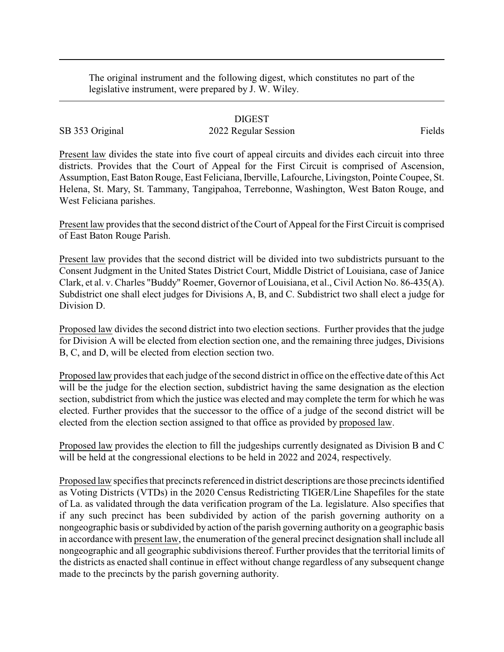The original instrument and the following digest, which constitutes no part of the legislative instrument, were prepared by J. W. Wiley.

## DIGEST

## SB 353 Original 2022 Regular Session Fields

Present law divides the state into five court of appeal circuits and divides each circuit into three districts. Provides that the Court of Appeal for the First Circuit is comprised of Ascension, Assumption, East Baton Rouge, East Feliciana, Iberville, Lafourche, Livingston, Pointe Coupee, St. Helena, St. Mary, St. Tammany, Tangipahoa, Terrebonne, Washington, West Baton Rouge, and West Feliciana parishes.

Present law provides that the second district of the Court of Appeal for the First Circuit is comprised of East Baton Rouge Parish.

Present law provides that the second district will be divided into two subdistricts pursuant to the Consent Judgment in the United States District Court, Middle District of Louisiana, case of Janice Clark, et al. v. Charles "Buddy" Roemer, Governor of Louisiana, et al., Civil Action No. 86-435(A). Subdistrict one shall elect judges for Divisions A, B, and C. Subdistrict two shall elect a judge for Division D.

Proposed law divides the second district into two election sections. Further provides that the judge for Division A will be elected from election section one, and the remaining three judges, Divisions B, C, and D, will be elected from election section two.

Proposed law provides that each judge of the second district in office on the effective date of this Act will be the judge for the election section, subdistrict having the same designation as the election section, subdistrict from which the justice was elected and may complete the term for which he was elected. Further provides that the successor to the office of a judge of the second district will be elected from the election section assigned to that office as provided by proposed law.

Proposed law provides the election to fill the judgeships currently designated as Division B and C will be held at the congressional elections to be held in 2022 and 2024, respectively.

Proposed law specifies that precincts referenced in district descriptions are those precincts identified as Voting Districts (VTDs) in the 2020 Census Redistricting TIGER/Line Shapefiles for the state of La. as validated through the data verification program of the La. legislature. Also specifies that if any such precinct has been subdivided by action of the parish governing authority on a nongeographic basis or subdivided by action of the parish governing authority on a geographic basis in accordance with present law, the enumeration of the general precinct designation shall include all nongeographic and all geographic subdivisions thereof. Further provides that the territorial limits of the districts as enacted shall continue in effect without change regardless of any subsequent change made to the precincts by the parish governing authority.